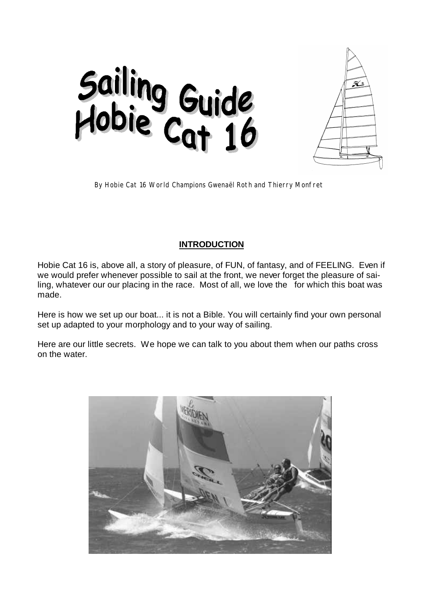



*By Hobie Cat 16 World Champions Gwenaël Roth and Thierry Monfret*

# **INTRODUCTION**

Hobie Cat 16 is, above all, a story of pleasure, of FUN, of fantasy, and of FEELING. Even if we would prefer whenever possible to sail at the front, we never forget the pleasure of sailing, whatever our our placing in the race. Most of all, we love the for which this boat was made.

Here is how we set up our boat... it is not a Bible. You will certainly find your own personal set up adapted to your morphology and to your way of sailing.

Here are our little secrets. We hope we can talk to you about them when our paths cross on the water.

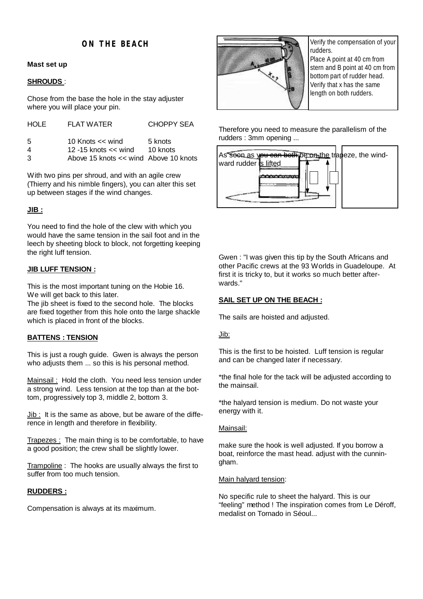# **ON THE BEACH**

## **Mast set up**

## **SHROUDS** :

Chose from the base the hole in the stay adjuster where you will place your pin.

| <b>CHOPPY SEA</b>                     |
|---------------------------------------|
| 10 Knots $<<$ wind<br>5 knots         |
| 12 -15 knots $<<$ wind<br>10 knots    |
| Above 15 knots << wind Above 10 knots |
|                                       |

With two pins per shroud, and with an agile crew (Thierry and his nimble fingers), you can alter this set up between stages if the wind changes.

## **JIB :**

You need to find the hole of the clew with which you would have the same tension in the sail foot and in the leech by sheeting block to block, not forgetting keeping the right luff tension.

## **JIB LUFF TENSION :**

This is the most important tuning on the Hobie 16. We will get back to this later.

The jib sheet is fixed to the second hole. The blocks are fixed together from this hole onto the large shackle which is placed in front of the blocks.

## **BATTENS : TENSION**

This is just a rough guide. Gwen is always the person who adjusts them ... so this is his personal method.

Mainsail: Hold the cloth. You need less tension under a strong wind. Less tension at the top than at the bottom, progressively top 3, middle 2, bottom 3.

 $Jib$ : It is the same as above, but be aware of the difference in length and therefore in flexibility.

Trapezes : The main thing is to be comfortable, to have a good position; the crew shall be slightly lower.

Trampoline : The hooks are usually always the first to suffer from too much tension.

## **RUDDERS :**

Compensation is always at its maximum.



Verify the compensation of your rudders.

Place A point at 40 cm from stern and B point at 40 cm from bottom part of rudder head. Verify that x has the same length on both rudders.

Therefore you need to measure the parallelism of the rudders : 3mm opening ...



Gwen : "I was given this tip by the South Africans and other Pacific crews at the 93 Worlds in Guadeloupe. At first it is tricky to, but it works so much better afterwards."

## **SAIL SET UP ON THE BEACH :**

The sails are hoisted and adjusted.

#### Jib:

This is the first to be hoisted. Luff tension is regular and can be changed later if necessary.

\*the final hole for the tack will be adjusted according to the mainsail.

\*the halyard tension is medium. Do not waste your energy with it.

## Mainsail:

make sure the hook is well adjusted. If you borrow a boat, reinforce the mast head. adjust with the cunningham.

#### Main halvard tension:

No specific rule to sheet the halyard. This is our "feeling" method ! The inspiration comes from Le Déroff, medalist on Tornado in Séoul...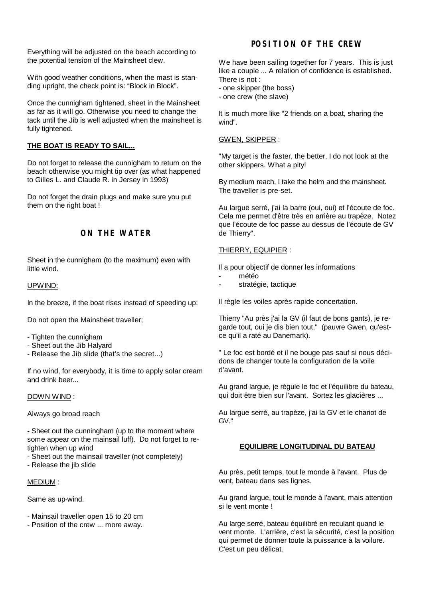Everything will be adjusted on the beach according to the potential tension of the Mainsheet clew.

With good weather conditions, when the mast is standing upright, the check point is: "Block in Block".

Once the cunnigham tightened, sheet in the Mainsheet as far as it will go. Otherwise you need to change the tack until the Jib is well adjusted when the mainsheet is fully tightened.

## **THE BOAT IS READY TO SAIL...**

Do not forget to release the cunnigham to return on the beach otherwise you might tip over (as what happened to Gilles L. and Claude R. in Jersey in 1993)

Do not forget the drain plugs and make sure you put them on the right boat !

## **ON THE WATER**

Sheet in the cunnigham (to the maximum) even with little wind.

#### UPWIND:

In the breeze, if the boat rises instead of speeding up:

Do not open the Mainsheet traveller;

- Tighten the cunnigham
- Sheet out the Jib Halyard
- Release the Jib slide (that's the secret...)

If no wind, for everybody, it is time to apply solar cream and drink beer

#### DOWN WIND :

Always go broad reach

- Sheet out the cunningham (up to the moment where some appear on the mainsail luff). Do not forget to retighten when up wind

- Sheet out the mainsail traveller (not completely)
- Release the jib slide

#### MEDIUM :

Same as up-wind.

- Mainsail traveller open 15 to 20 cm
- Position of the crew ... more away.

# **POSITION OF THE CREW**

We have been sailing together for 7 years. This is just like a couple ... A relation of confidence is established. There is not :

- one skipper (the boss)
- one crew (the slave)

It is much more like "2 friends on a boat, sharing the wind".

#### GWEN, SKIPPER :

"My target is the faster, the better, I do not look at the other skippers. What a pity!

By medium reach, I take the helm and the mainsheet. The traveller is pre-set.

Au largue serré, j'ai la barre (oui, oui) et l'écoute de foc. Cela me permet d'être très en arrière au trapèze. Notez que l'écoute de foc passe au dessus de l'écoute de GV de Thierry".

#### THIERRY, EQUIPIER :

Il a pour objectif de donner les informations

- météo
- stratégie, tactique

Il règle les voiles après rapide concertation.

Thierry "Au près j'ai la GV (il faut de bons gants), je regarde tout, oui je dis bien tout," (pauvre Gwen, qu'estce qu'il a raté au Danemark).

" Le foc est bordé et il ne bouge pas sauf si nous décidons de changer toute la configuration de la voile d'avant.

Au grand largue, je régule le foc et l'équilibre du bateau, qui doit être bien sur l'avant. Sortez les glacières ...

Au largue serré, au trapèze, j'ai la GV et le chariot de GV."

## **EQUILIBRE LONGITUDINAL DU BATEAU**

Au près, petit temps, tout le monde à l'avant. Plus de vent, bateau dans ses lignes.

Au grand largue, tout le monde à l'avant, mais attention si le vent monte !

Au large serré, bateau équilibré en reculant quand le vent monte. L'arrière, c'est la sécurité, c'est la position qui permet de donner toute la puissance à la voilure. C'est un peu délicat.